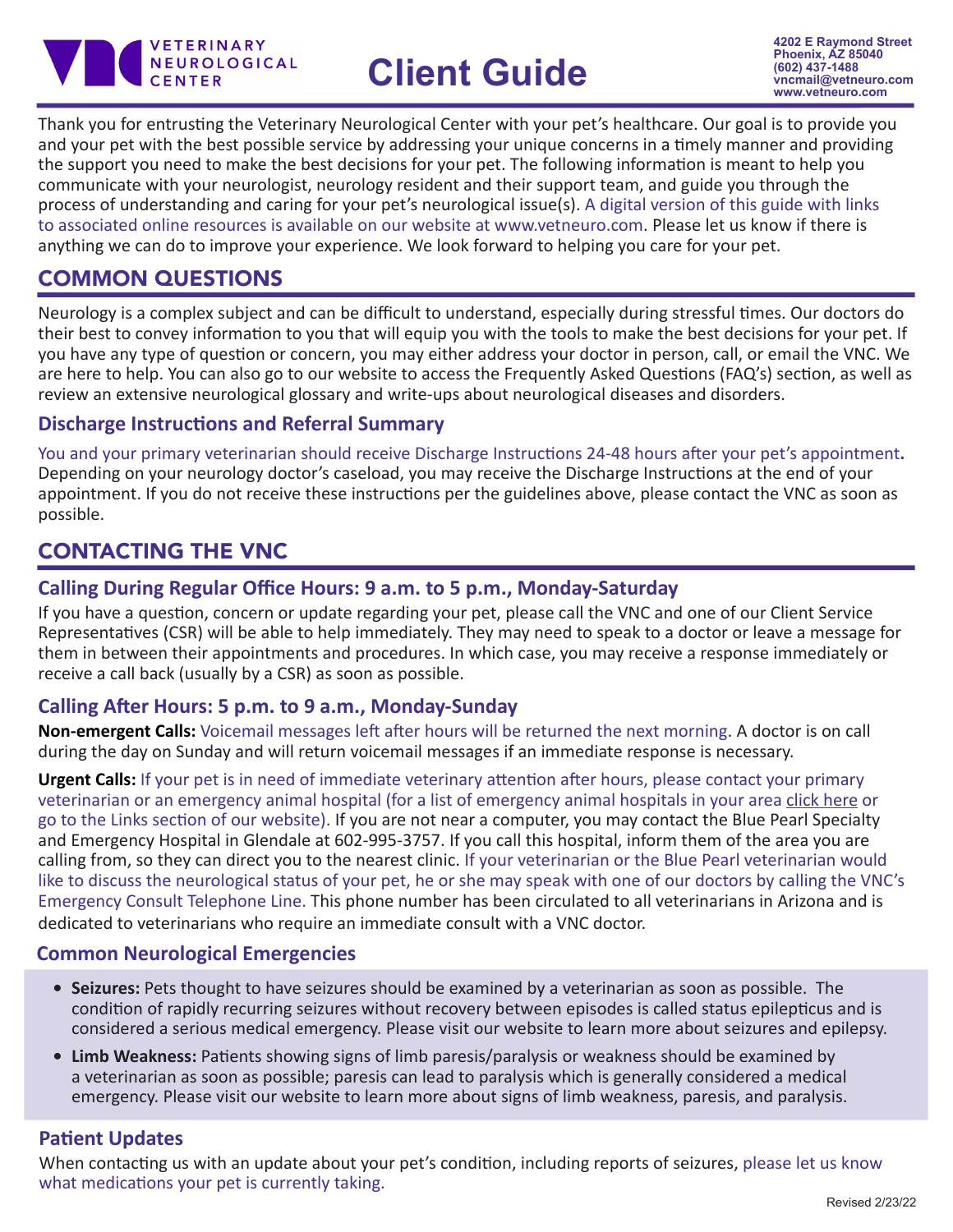

# **Client Guide**

Thank you for entrusting the Veterinary Neurological Center with your pet's healthcare. Our goal is to provide you and your pet with the best possible service by addressing your unique concerns in a timely manner and providing the support you need to make the best decisions for your pet. The following information is meant to help you communicate with your neurologist, neurology resident and their support team, and guide you through the process of understanding and caring for your pet's neurological issue(s). A digital version of this guide with links to associated online resources is available on our website at www.vetneuro.com. Please let us know if there is anything we can do to improve your experience. We look forward to helping you care for your pet.

# COMMON QUESTIONS

Neurology is a complex subject and can be difficult to understand, especially during stressful times. Our doctors do their best to convey information to you that will equip you with the tools to make the best decisions for your pet. If you have any type of question or concern, you may either address your doctor in person, call, or email the VNC. We are here to help. You can also go to our website to access the Frequently Asked Questions (FAQ's) section, as well as review an extensive neurological glossary and write-ups about neurological diseases and disorders.

## **Discharge Instructions and Referral Summary**

You and your primary veterinarian should receive Discharge Instructions 24-48 hours after your pet's appointment**.** Depending on your neurology doctor's caseload, you may receive the Discharge Instructions at the end of your appointment. If you do not receive these instructions per the guidelines above, please contact the VNC as soon as possible.

# CONTACTING THE VNC

## **Calling During Regular Office Hours: 9 a.m. to 5 p.m., Monday-Saturday**

If you have a question, concern or update regarding your pet, please call the VNC and one of our Client Service Representatives (CSR) will be able to help immediately. They may need to speak to a doctor or leave a message for them in between their appointments and procedures. In which case, you may receive a response immediately or receive a call back (usually by a CSR) as soon as possible.

## **Calling After Hours: 5 p.m. to 9 a.m., Monday-Sunday**

**Non-emergent Calls:** Voicemail messages left after hours will be returned the next morning. A doctor is on call during the day on Sunday and will return voicemail messages if an immediate response is necessary.

**Urgent Calls:** If your pet is in need of immediate veterinary attention after hours, please contact your primary veterinarian or an emergency animal hospital (for a list of emergency animal hospitals in your area [click here](http://www.vetneuro.com/index.php/resources/links) or go to the Links section of our website). If you are not near a computer, you may contact the Blue Pearl Specialty and Emergency Hospital in Glendale at 602-995-3757. If you call this hospital, inform them of the area you are calling from, so they can direct you to the nearest clinic. If your veterinarian or the Blue Pearl veterinarian would like to discuss the neurological status of your pet, he or she may speak with one of our doctors by calling the VNC's Emergency Consult Telephone Line. This phone number has been circulated to all veterinarians in Arizona and is dedicated to veterinarians who require an immediate consult with a VNC doctor.

## **Common Neurological Emergencies**

- **• Seizures:** Pets thought to have seizures should be examined by a veterinarian as soon as possible. The condition of rapidly recurring seizures without recovery between episodes is called status epilepticus and is considered a serious medical emergency. Please visit our website to learn more about seizures and epilepsy.
- **• Limb Weakness:** Patients showing signs of limb paresis/paralysis or weakness should be examined by a veterinarian as soon as possible; paresis can lead to paralysis which is generally considered a medical emergency. Please visit our website to learn more about signs of limb weakness, paresis, and paralysis.

## **Patient Updates**

When contacting us with an update about your pet's condition, including reports of seizures, please let us know what medications your pet is currently taking.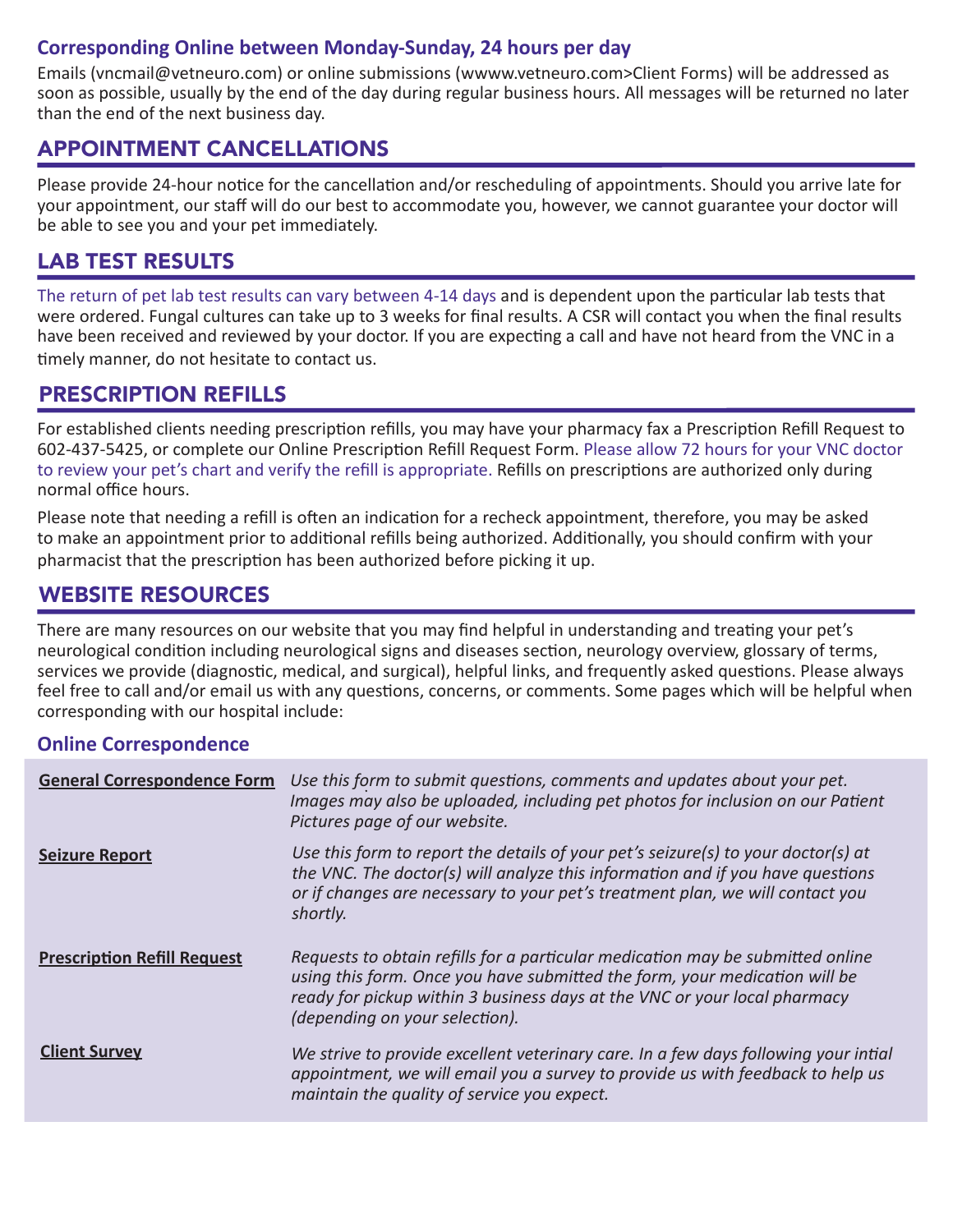## **Corresponding Online between Monday-Sunday, 24 hours per day**

Emails (vncmail@vetneuro.com) or online submissions (wwww.vetneuro.com>Client Forms) will be addressed as soon as possible, usually by the end of the day during regular business hours. All messages will be returned no later than the end of the next business day.

## APPOINTMENT CANCELLATIONS

Please provide 24-hour notice for the cancellation and/or rescheduling of appointments. Should you arrive late for your appointment, our staff will do our best to accommodate you, however, we cannot guarantee your doctor will be able to see you and your pet immediately.

# LAB TEST RESULTS

The return of pet lab test results can vary between 4-14 days and is dependent upon the particular lab tests that were ordered. Fungal cultures can take up to 3 weeks for final results. A CSR will contact you when the final results have been received and reviewed by your doctor. If you are expecting a call and have not heard from the VNC in a timely manner, do not hesitate to contact us.

## PRESCRIPTION REFILLS

For established clients needing prescription refills, you may have your pharmacy fax a Prescription Refill Request to 602-437-5425, or complete our Online Prescription Refill Request Form. Please allow 72 hours for your VNC doctor to review your pet's chart and verify the refill is appropriate. Refills on prescriptions are authorized only during normal office hours.

Please note that needing a refill is often an indication for a recheck appointment, therefore, you may be asked to make an appointment prior to additional refills being authorized. Additionally, you should confirm with your pharmacist that the prescription has been authorized before picking it up.

# WEBSITE RESOURCES

There are many resources on our website that you may find helpful in understanding and treating your pet's neurological condition including neurological signs and diseases section, neurology overview, glossary of terms, services we provide (diagnostic, medical, and surgical), helpful links, and frequently asked questions. Please always feel free to call and/or email us with any questions, concerns, or comments. Some pages which will be helpful when corresponding with our hospital include:

## **Online Correspondence**

| <b>General Correspondence Form</b> | Use this form to submit questions, comments and updates about your pet.<br>Images may also be uploaded, including pet photos for inclusion on our Patient<br>Pictures page of our website.                                                                                  |
|------------------------------------|-----------------------------------------------------------------------------------------------------------------------------------------------------------------------------------------------------------------------------------------------------------------------------|
| <b>Seizure Report</b>              | Use this form to report the details of your pet's seizure(s) to your doctor(s) at<br>the VNC. The doctor(s) will analyze this information and if you have questions<br>or if changes are necessary to your pet's treatment plan, we will contact you<br>shortly.            |
| <b>Prescription Refill Request</b> | Requests to obtain refills for a particular medication may be submitted online<br>using this form. Once you have submitted the form, your medication will be<br>ready for pickup within 3 business days at the VNC or your local pharmacy<br>(depending on your selection). |
| <b>Client Survey</b>               | We strive to provide excellent veterinary care. In a few days following your intial<br>appointment, we will email you a survey to provide us with feedback to help us<br>maintain the quality of service you expect.                                                        |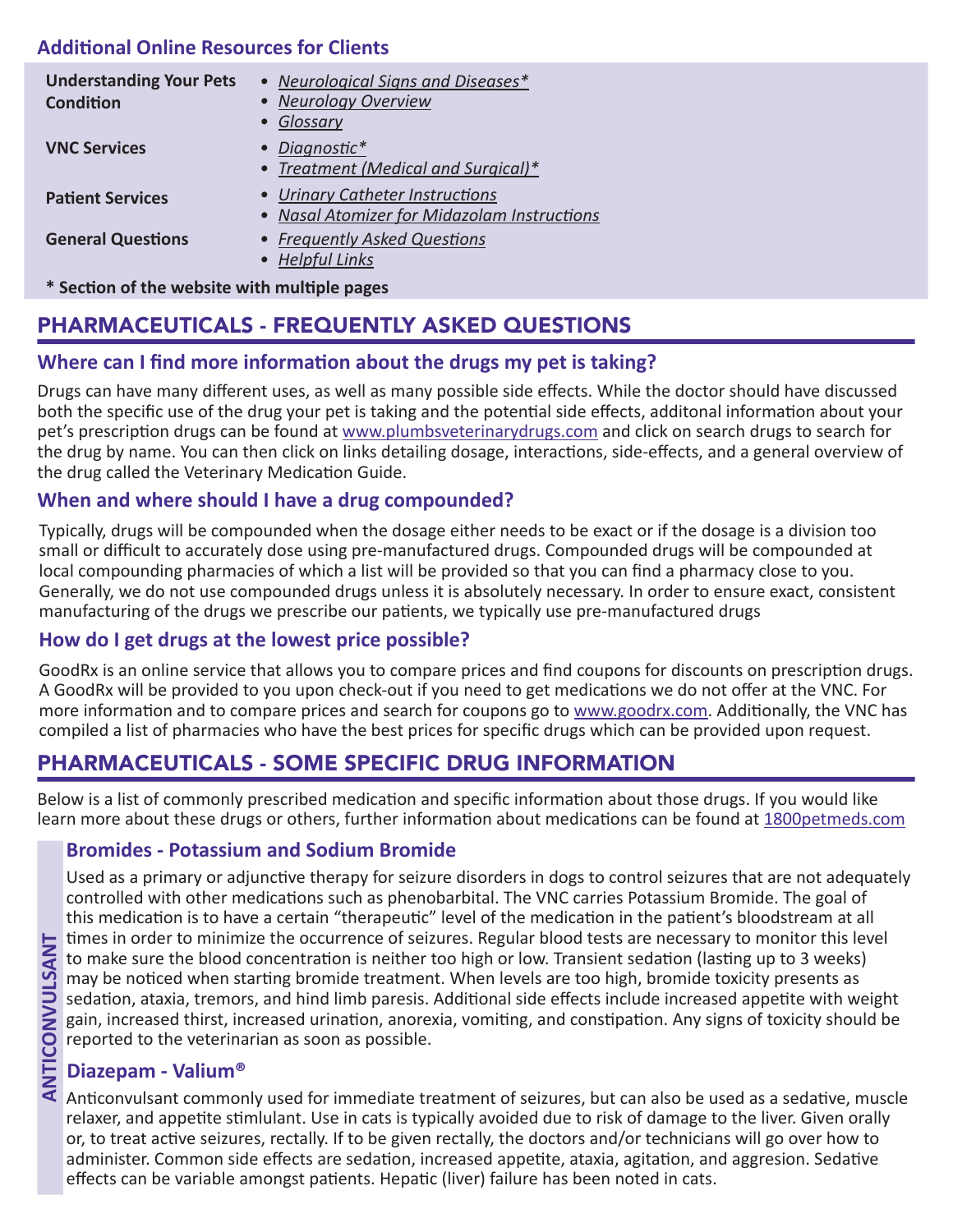## **Additional Online Resources for Clients**

| <b>Understanding Your Pets</b>               | • Neurological Signs and Diseases*          |  |
|----------------------------------------------|---------------------------------------------|--|
| <b>Condition</b>                             | • Neurology Overview                        |  |
|                                              | Glossary<br>$\bullet$                       |  |
| <b>VNC Services</b>                          | • Diagnostic*                               |  |
|                                              | • Treatment (Medical and Surgical)*         |  |
| <b>Patient Services</b>                      | • Urinary Catheter Instructions             |  |
|                                              | • Nasal Atomizer for Midazolam Instructions |  |
| <b>General Questions</b>                     | • Frequently Asked Questions                |  |
|                                              | • Helpful Links                             |  |
| * Section of the website with multiple pages |                                             |  |

# PHARMACEUTICALS - FREQUENTLY ASKED QUESTIONS

## **Where can I find more information about the drugs my pet is taking?**

Drugs can have many different uses, as well as many possible side effects. While the doctor should have discussed both the specific use of the drug your pet is taking and the potential side effects, additonal information about your pet's prescription drugs can be found at [www.plumbsveterinarydrugs.com](http://www.plumbsveterinarydrugs.com) and click on search drugs to search for the drug by name. You can then click on links detailing dosage, interactions, side-effects, and a general overview of the drug called the Veterinary Medication Guide.

#### **When and where should I have a drug compounded?**

Typically, drugs will be compounded when the dosage either needs to be exact or if the dosage is a division too small or difficult to accurately dose using pre-manufactured drugs. Compounded drugs will be compounded at local compounding pharmacies of which a list will be provided so that you can find a pharmacy close to you. Generally, we do not use compounded drugs unless it is absolutely necessary. In order to ensure exact, consistent manufacturing of the drugs we prescribe our patients, we typically use pre-manufactured drugs

## **How do I get drugs at the lowest price possible?**

GoodRx is an online service that allows you to compare prices and find coupons for discounts on prescription drugs. A GoodRx will be provided to you upon check-out if you need to get medications we do not offer at the VNC. For more information and to compare prices and search for coupons go to www.goodrx.com. Additionally, the VNC has compiled a list of pharmacies who have the best prices for specific drugs which can be provided upon request.

# PHARMACEUTICALS - SOME SPECIFIC DRUG INFORMATION

Below is a list of commonly prescribed medication and specific information about those drugs. If you would like learn more about these drugs or others, further information about medications can be found at 1800petmeds.com

## **Bromides - Potassium and Sodium Bromide**

Used as a primary or adjunctive therapy for seizure disorders in dogs to control seizures that are not adequately controlled with other medications such as phenobarbital. The VNC carries Potassium Bromide. The goal of this medication is to have a certain "therapeutic" level of the medication in the patient's bloodstream at all times in order to minimize the occurrence of seizures. Regular blood tests are necessary to monitor this level to make sure the blood concentration is neither too high or low. Transient sedation (lasting up to 3 weeks) may be noticed when starting bromide treatment. When levels are too high, bromide toxicity presents as sedation, ataxia, tremors, and hind limb paresis. Additional side effects include increased appetite with weight gain, increased thirst, increased urination, anorexia, vomiting, and constipation. Any signs of toxicity should be reported to the veterinarian as soon as possible.

## **Diazepam - Valium®**

Anticonvulsant commonly used for immediate treatment of seizures, but can also be used as a sedative, muscle relaxer, and appetite stimlulant. Use in cats is typically avoided due to risk of damage to the liver. Given orally or, to treat active seizures, rectally. If to be given rectally, the doctors and/or technicians will go over how to administer. Common side effects are sedation, increased appetite, ataxia, agitation, and aggresion. Sedative effects can be variable amongst patients. Hepatic (liver) failure has been noted in cats.